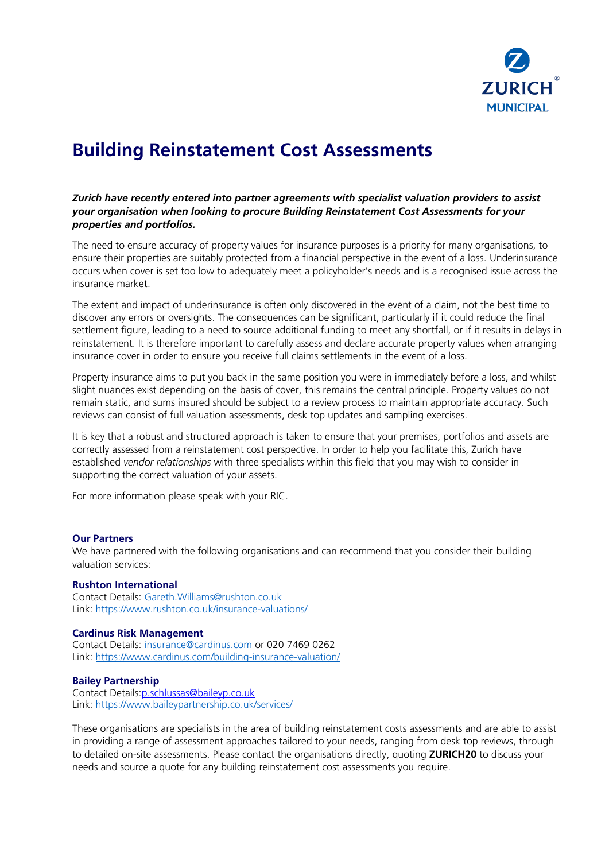

# **Building Reinstatement Cost Assessments**

## *Zurich have recently entered into partner agreements with specialist valuation providers to assist your organisation when looking to procure Building Reinstatement Cost Assessments for your properties and portfolios.*

The need to ensure accuracy of property values for insurance purposes is a priority for many organisations, to ensure their properties are suitably protected from a financial perspective in the event of a loss. Underinsurance occurs when cover is set too low to adequately meet a policyholder's needs and is a recognised issue across the insurance market.

The extent and impact of underinsurance is often only discovered in the event of a claim, not the best time to discover any errors or oversights. The consequences can be significant, particularly if it could reduce the final settlement figure, leading to a need to source additional funding to meet any shortfall, or if it results in delays in reinstatement. It is therefore important to carefully assess and declare accurate property values when arranging insurance cover in order to ensure you receive full claims settlements in the event of a loss.

Property insurance aims to put you back in the same position you were in immediately before a loss, and whilst slight nuances exist depending on the basis of cover, this remains the central principle. Property values do not remain static, and sums insured should be subject to a review process to maintain appropriate accuracy. Such reviews can consist of full valuation assessments, desk top updates and sampling exercises.

It is key that a robust and structured approach is taken to ensure that your premises, portfolios and assets are correctly assessed from a reinstatement cost perspective. In order to help you facilitate this, Zurich have established *vendor relationships* with three specialists within this field that you may wish to consider in supporting the correct valuation of your assets.

For more information please speak with your RIC.

#### **Our Partners**

We have partnered with the following organisations and can recommend that you consider their building valuation services:

#### **Rushton International**

Contact Details: [Gareth.Williams@rushton.co.uk](mailto:Gareth.Williams@rushton.co.uk) Link:<https://www.rushton.co.uk/insurance-valuations/>

#### **Cardinus Risk Management**

Contact Details: [insurance@cardinus.com](mailto:insurance@cardinus.com) or 020 7469 0262 Link:<https://www.cardinus.com/building-insurance-valuation/>

## **Bailey Partnership**

Contact Details[:p.schlussas@baileyp.co.uk](mailto:p.schlussas@baileyp.co.uk) Link:<https://www.baileypartnership.co.uk/services/>

These organisations are specialists in the area of building reinstatement costs assessments and are able to assist in providing a range of assessment approaches tailored to your needs, ranging from desk top reviews, through to detailed on-site assessments. Please contact the organisations directly, quoting **ZURICH20** to discuss your needs and source a quote for any building reinstatement cost assessments you require.